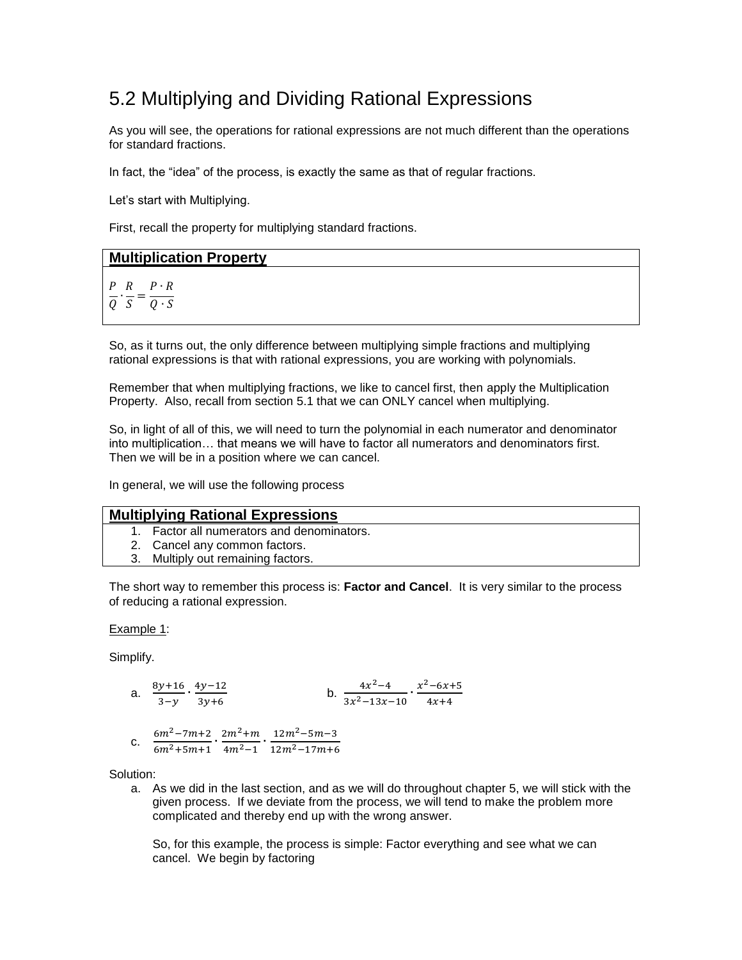## 5.2 Multiplying and Dividing Rational Expressions

As you will see, the operations for rational expressions are not much different than the operations for standard fractions.

In fact, the "idea" of the process, is exactly the same as that of regular fractions.

Let's start with Multiplying.

First, recall the property for multiplying standard fractions.

# **Multiplication Property** PR P  $\frac{1}{Q} \cdot \frac{1}{S} = \frac{1}{Q}$

So, as it turns out, the only difference between multiplying simple fractions and multiplying rational expressions is that with rational expressions, you are working with polynomials.

Remember that when multiplying fractions, we like to cancel first, then apply the Multiplication Property. Also, recall from section 5.1 that we can ONLY cancel when multiplying.

So, in light of all of this, we will need to turn the polynomial in each numerator and denominator into multiplication… that means we will have to factor all numerators and denominators first. Then we will be in a position where we can cancel.

In general, we will use the following process

### **Multiplying Rational Expressions**

- 1. Factor all numerators and denominators.
- 2. Cancel any common factors.
- 3. Multiply out remaining factors.

The short way to remember this process is: **Factor and Cancel**. It is very similar to the process of reducing a rational expression.

Example 1:

Simplify.

a. 
$$
\frac{8y+16}{3-y} \cdot \frac{4y-12}{3y+6}
$$
  
b. 
$$
\frac{4x^2-4}{3x^2-13x-10} \cdot \frac{x^2-6x+5}{4x+4}
$$

c. 
$$
\frac{6m^2-7m+2}{6m^2+5m+1} \cdot \frac{2m^2+m}{4m^2-1} \cdot \frac{12m^2-5m-3}{12m^2-17m+6}
$$

Solution:

a. As we did in the last section, and as we will do throughout chapter 5, we will stick with the given process. If we deviate from the process, we will tend to make the problem more complicated and thereby end up with the wrong answer.

So, for this example, the process is simple: Factor everything and see what we can cancel. We begin by factoring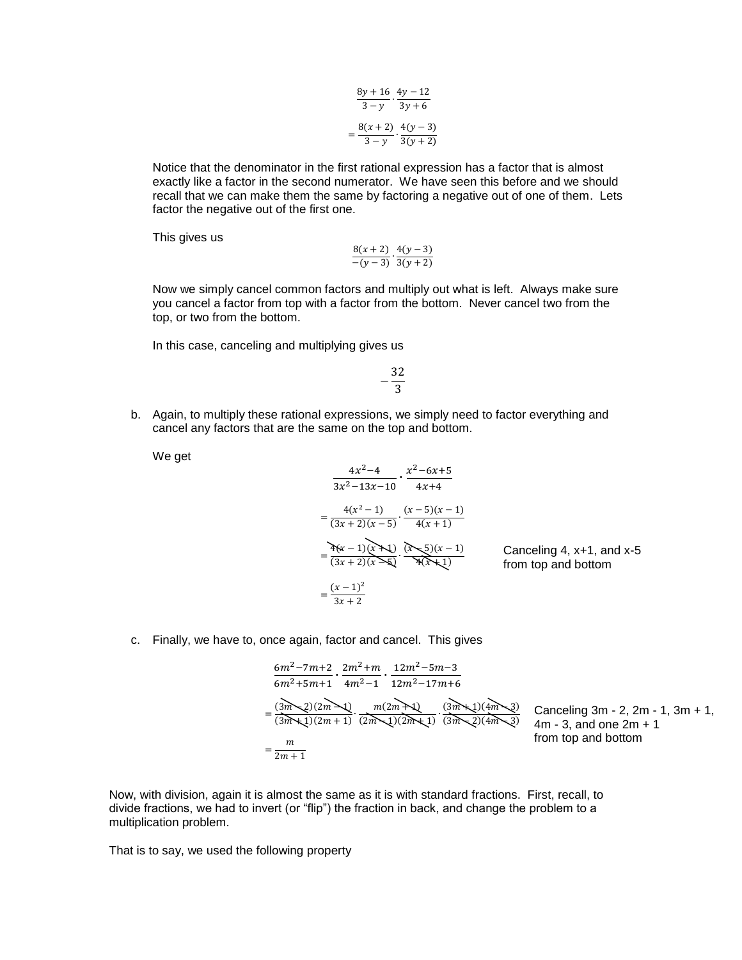$$
\frac{8y + 16}{3 - y} \cdot \frac{4y - 12}{3y + 6}
$$

$$
= \frac{8(x + 2)}{3 - y} \cdot \frac{4(y - 3)}{3(y + 2)}
$$

Notice that the denominator in the first rational expression has a factor that is almost exactly like a factor in the second numerator. We have seen this before and we should recall that we can make them the same by factoring a negative out of one of them. Lets factor the negative out of the first one.

This gives us

$$
\frac{8(x+2)}{-(y-3)} \cdot \frac{4(y-3)}{3(y+2)}
$$

Now we simply cancel common factors and multiply out what is left. Always make sure you cancel a factor from top with a factor from the bottom. Never cancel two from the top, or two from the bottom.

In this case, canceling and multiplying gives us

$$
-\frac{32}{3}
$$

 $\sim$ 

b. Again, to multiply these rational expressions, we simply need to factor everything and cancel any factors that are the same on the top and bottom.

 $\sim$ 

We get

$$
\frac{4x^2-4}{3x^2-13x-10} \cdot \frac{x^2-6x+5}{4x+4}
$$
\n
$$
= \frac{4(x^2-1)}{(3x+2)(x-5)} \cdot \frac{(x-5)(x-1)}{4(x+1)}
$$
\n
$$
= \frac{4(x-1)(x+1)}{(3x+2)(x-5)} \cdot \frac{(x-5)(x-1)}{(x+1)(x+1)}
$$
\n
$$
= \frac{(x-1)^2}{3x+2}
$$
\nCanceling 4, x+1, and x-5

\nfrom top and bottom

c. Finally, we have to, once again, factor and cancel. This gives

$$
\frac{6m^2-7m+2}{6m^2+5m+1} \cdot \frac{2m^2+m}{4m^2-1} \cdot \frac{12m^2-5m-3}{12m^2-17m+6}
$$
  
= 
$$
\frac{(3m-2)(2m-1)}{(3m+1)(2m+1)} \cdot \frac{m(2m+1)}{(2m-1)(2m+1)} \cdot \frac{(3m+1)(4m-3)}{(3m-2)(4m-3)}
$$
  
= 
$$
\frac{m}{2m+1}
$$

Canceling 3m - 2, 2m - 1, 3m + 1,  $\frac{3}{3}$  4m - 3, and one 2m + 1 from top and bottom

Now, with division, again it is almost the same as it is with standard fractions. First, recall, to divide fractions, we had to invert (or "flip") the fraction in back, and change the problem to a multiplication problem.

That is to say, we used the following property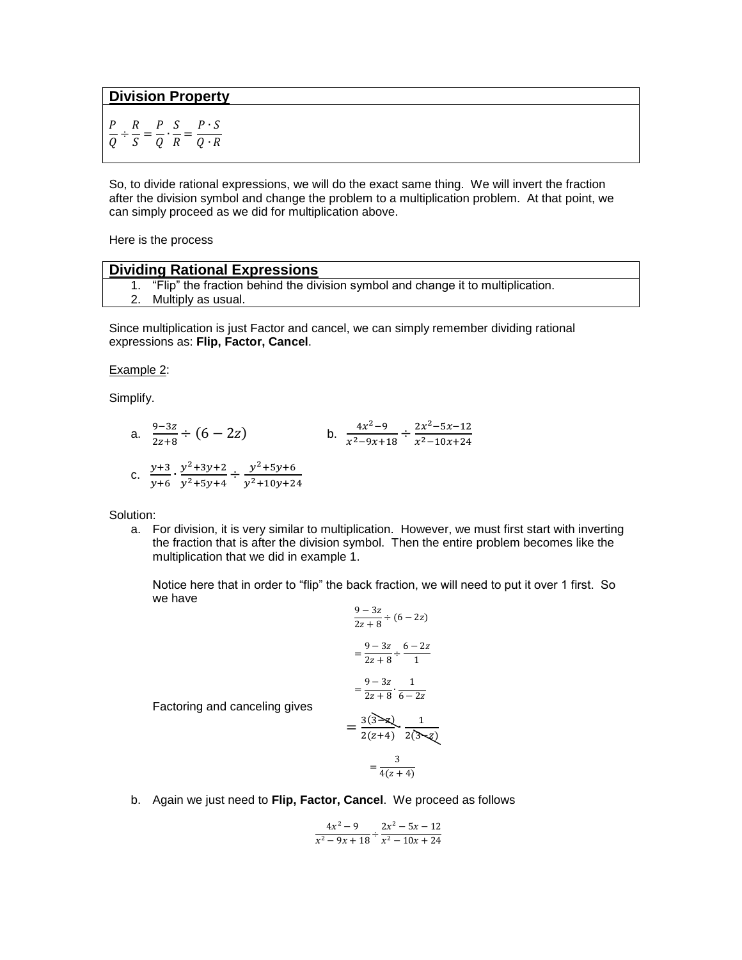**Division Property**

$$
\frac{P}{Q} \div \frac{R}{S} = \frac{P}{Q} \cdot \frac{S}{R} = \frac{P \cdot S}{Q \cdot R}
$$

So, to divide rational expressions, we will do the exact same thing. We will invert the fraction after the division symbol and change the problem to a multiplication problem. At that point, we can simply proceed as we did for multiplication above.

Here is the process

#### **Dividing Rational Expressions**

Factoring and canceling gives

- 1. "Flip" the fraction behind the division symbol and change it to multiplication.
- 2. Multiply as usual.

Since multiplication is just Factor and cancel, we can simply remember dividing rational expressions as: **Flip, Factor, Cancel**.

#### Example 2:

Simplify.

a. 
$$
\frac{9-3z}{2z+8} \div (6-2z)
$$
  
b. 
$$
\frac{4x^2-9}{x^2-9x+18} \div \frac{2x^2-5x-12}{x^2-10x+24}
$$
  
c. 
$$
\frac{y+3}{y+6} \cdot \frac{y^2+3y+2}{y^2+5y+4} \div \frac{y^2+5y+6}{y^2+10y+24}
$$

Solution:

a. For division, it is very similar to multiplication. However, we must first start with inverting the fraction that is after the division symbol. Then the entire problem becomes like the multiplication that we did in example 1.

Notice here that in order to "flip" the back fraction, we will need to put it over 1 first. So we have

$$
\frac{9-3z}{2z+8} \div (6-2z)
$$
  
= 
$$
\frac{9-3z}{2z+8} \div \frac{6-2z}{1}
$$
  
= 
$$
\frac{9-3z}{2z+8} \cdot \frac{1}{6-2z}
$$
  
= 
$$
\frac{3(3-z)}{2(z+4)} \cdot \frac{1}{2(3-z)}
$$

$$
=\frac{3}{4(z+4)}
$$

b. Again we just need to **Flip, Factor, Cancel**. We proceed as follows

$$
\frac{4x^2-9}{x^2-9x+18} \div \frac{2x^2-5x-12}{x^2-10x+24}
$$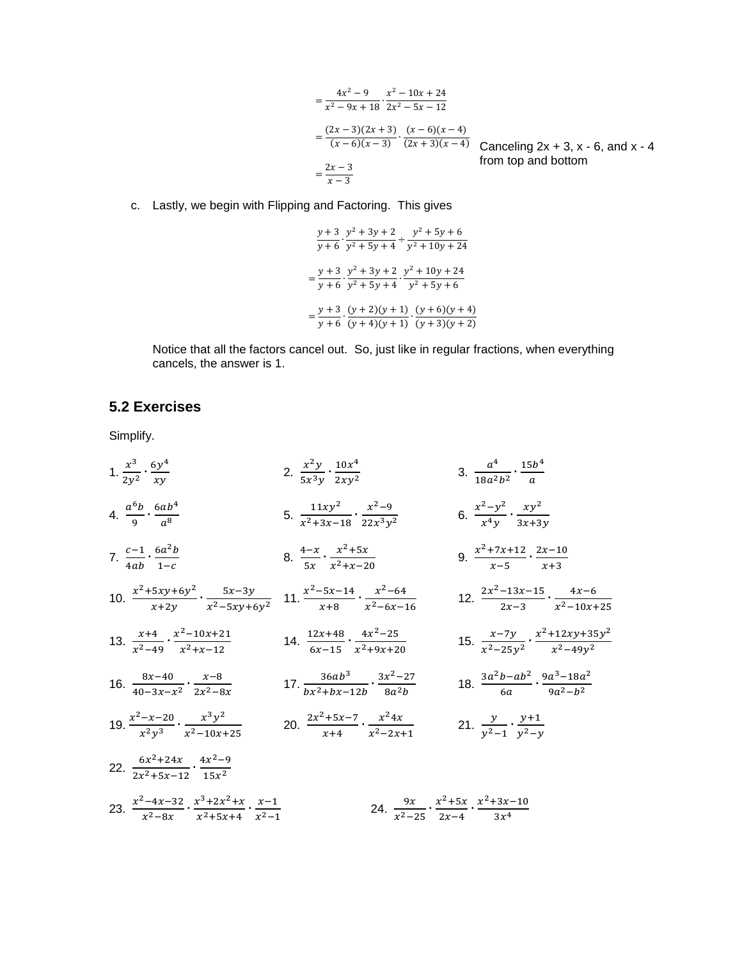$$
= \frac{4x^2 - 9}{x^2 - 9x + 18} \cdot \frac{x^2 - 10x + 24}{2x^2 - 5x - 12}
$$
  
=  $\frac{(2x - 3)(2x + 3)}{(x - 6)(x - 3)} \cdot \frac{(x - 6)(x - 4)}{(2x + 3)(x - 4)}$  Canceling 2x + 3, x - 6, and from top and bottom  
=  $\frac{2x - 3}{x - 3}$ 

 $x - 4$ 

c. Lastly, we begin with Flipping and Factoring. This gives

$$
\frac{y+3}{y+6} \cdot \frac{y^2+3y+2}{y^2+5y+4} \div \frac{y^2+5y+6}{y^2+10y+24}
$$
  
= 
$$
\frac{y+3}{y+6} \cdot \frac{y^2+3y+2}{y^2+5y+4} \cdot \frac{y^2+10y+24}{y^2+5y+6}
$$
  
= 
$$
\frac{y+3}{y+6} \cdot \frac{(y+2)(y+1)}{(y+4)(y+1)} \cdot \frac{(y+6)(y+4)}{(y+3)(y+2)}
$$

Notice that all the factors cancel out. So, just like in regular fractions, when everything cancels, the answer is 1.

### **5.2 Exercises**

Simplify.

1.  $\frac{x^3}{2}$  $\frac{x^3}{2y^2} \cdot \frac{6y^4}{xy}$  $\mathcal{X}$ 2.  $\frac{x^2}{2}$  $\frac{x^2y}{5x^3y}\cdot\frac{10x^4}{2xy^2}$  $rac{10x^4}{2xy^2}$  3.  $rac{a^4}{18a^2}$  $\frac{a^4}{18a^2b^2} \cdot \frac{15b^4}{a}$  $\alpha$ 4.  $\frac{a^6}{a^6}$  $rac{6b}{9} \cdot \frac{6ab^4}{a^8}$  $\alpha$ 5.  $\frac{11xy^2}{x^2+2x}$  $\frac{11xy^2}{x^2+3x-18} \cdot \frac{x^2}{22x}$  $rac{x^2-9}{22x^3y^2}$  6.  $rac{x^2-y^2}{x^4y}$  $\frac{z-y^2}{x^4y}\cdot \frac{xy^2}{3x+3}$ 3 7.  $\frac{c}{1}$  $rac{c-1}{4ab} \cdot \frac{6a^2}{1-a}$  $\mathbf{1}$ 8.  $\frac{4}{7}$  $\frac{1-x}{5x} \cdot \frac{x^2}{x^2+1}$  $\frac{x^2+5x}{x^2+x-20}$  9.  $\frac{x^2}{x^2+x-20}$  $\frac{+7x+12}{x-5}$ .<sup>2</sup>  $\mathcal{X}$ 10.  $\frac{x^2+5xy+6y^2}{y^2}$  $\frac{5xy+6y^2}{x+2y} \cdot \frac{5}{x^2-9}$  $\frac{5x-3y}{x^2-5xy+6y^2}$  11.  $\frac{x^2}{x^2}$  $\frac{-5x-14}{x+8} \cdot \frac{x^2}{x^2-6}$  $\frac{x^2-64}{x^2-6x-16}$  12.  $\frac{2x^2}{x^2}$  $\frac{-13x-15}{2x-3} \cdot \frac{4}{x^2-1}$  $x^2$ 13.  $\frac{x}{2}$  $\frac{x+4}{x^2-49} \cdot \frac{x^2}{x}$  $\frac{2-10x+21}{x^2+x-12}$  14.  $\frac{1}{6}$  $\frac{12x+48}{6x-15} \cdot \frac{4x^2}{x^2+9}$  $\frac{4x^2-25}{x^2+9x+20}$  15.  $\frac{x}{x^2}$  $\frac{x-7y}{x^2-25y^2} \cdot \frac{x^2+12xy+35y^2}{x^2-49y^2}$  $x^2$ 16.  $\frac{8}{10}$  $\frac{8x-40}{40-3x-x^2} \cdot \frac{x}{2x^2}$  $\frac{x-8}{2x^2-8x}$  17.  $\frac{36ab^3}{bx^2+bx-}$  $\frac{36ab^3}{bx^2+bx-12b}\cdot\frac{3x^2}{8a}$  $rac{x^2-27}{8a^2b}$  18.  $rac{3a^2b-ab^2}{6a}$  $\frac{b-ab^2}{6a} \cdot \frac{9a^3-18a^2}{9a^2-b^2}$ 9 19.  $\frac{x^2}{x^2}$  $rac{-x-20}{x^2y^3} \cdot \frac{x^3y^2}{x^2-10x}$  $rac{x^3y^2}{x^2-10x+25}$  20.  $rac{2x^2}{x^2}$  $rac{2+5x-7}{x+4} \cdot \frac{x^2}{x^2-2}$  $\frac{x^2 4x}{x^2-2x+1}$  21.  $\frac{y}{y^2-1}$  $\frac{y}{y^2-1} \cdot \frac{y}{y^2}$  $\mathcal{Y}$ 22.  $\frac{6x^2}{2x^2}$  $\frac{6x^2+24x}{2x^2+5x-12} \cdot \frac{4x^2}{15}$  $15x^2$ 23.  $\frac{x^2}{x^2}$  $\frac{x^2-4x-32}{x^2-8x} \cdot \frac{x^3+2x^2}{x^2+5x}$  $\frac{x^3+2x^2+x}{x^2+5x+4} \cdot \frac{x}{x^2}$  $x^2$ 24.  $\frac{9}{2}$  $\frac{9x}{x^2-25} \cdot \frac{x^2}{2x}$  $\frac{x^2+5x}{2x-4} \cdot \frac{x^2}{x}$  $3x^4$